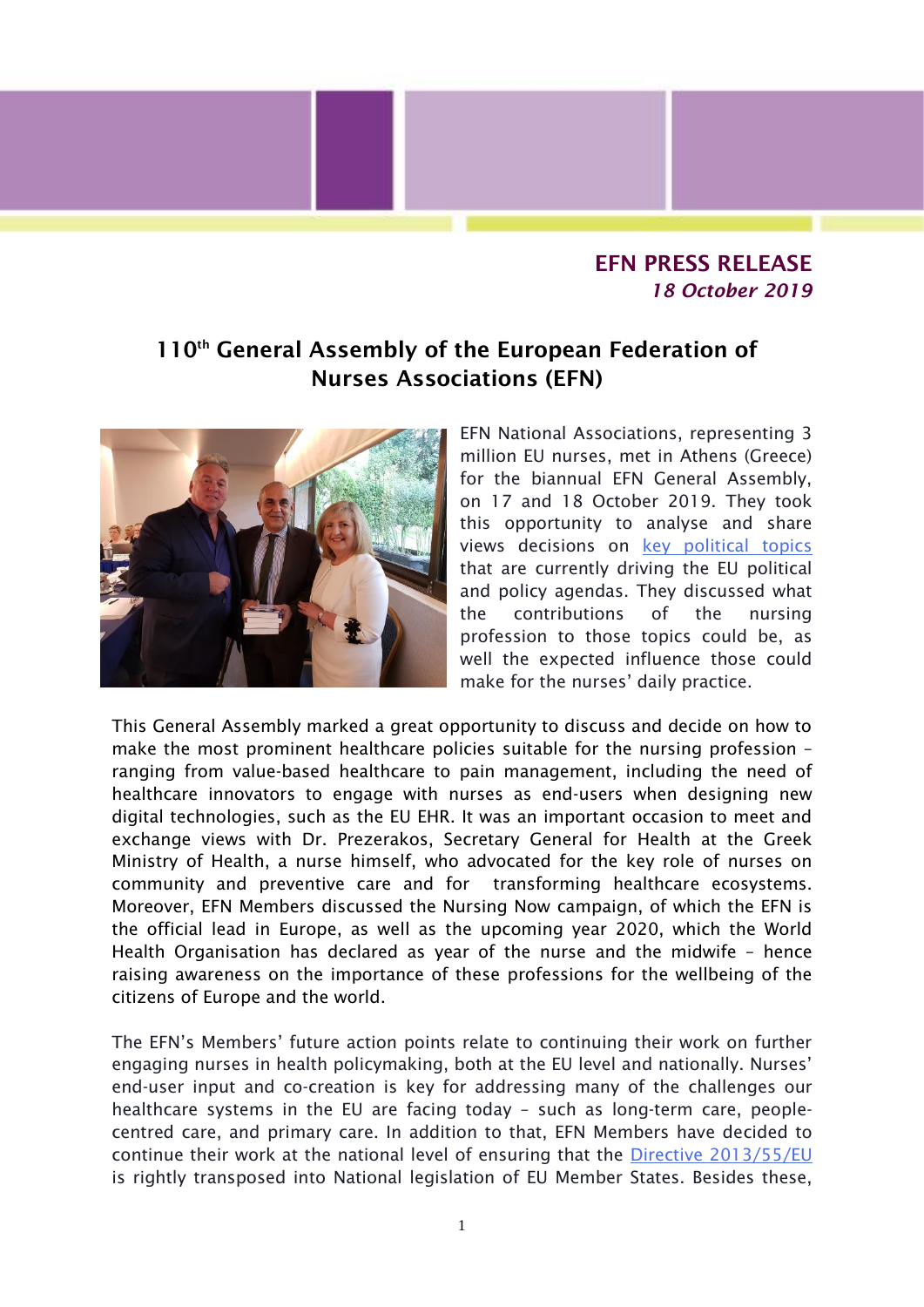## EFN PRESS RELEASE *18 October 2019*

## 110<sup>th</sup> General Assembly of the European Federation of Nurses Associations (EFN)



EFN National Associations, representing 3 million EU nurses, met in Athens (Greece) for the biannual EFN General Assembly, on 17 and 18 October 2019. They took this opportunity to analyse and share views decisions on [key political topics](http://www.efnweb.be/?page_id=831) that are currently driving the EU political and policy agendas. They discussed what the contributions of the nursing profession to those topics could be, as well the expected influence those could make for the nurses' daily practice.

This General Assembly marked a great opportunity to discuss and decide on how to make the most prominent healthcare policies suitable for the nursing profession – ranging from value-based healthcare to pain management, including the need of healthcare innovators to engage with nurses as end-users when designing new digital technologies, such as the EU EHR. It was an important occasion to meet and exchange views with Dr. Prezerakos, Secretary General for Health at the Greek Ministry of Health, a nurse himself, who advocated for the key role of nurses on community and preventive care and for transforming healthcare ecosystems. Moreover, EFN Members discussed the Nursing Now campaign, of which the EFN is the official lead in Europe, as well as the upcoming year 2020, which the World Health Organisation has declared as year of the nurse and the midwife – hence raising awareness on the importance of these professions for the wellbeing of the citizens of Europe and the world.

The EFN's Members' future action points relate to continuing their work on further engaging nurses in health policymaking, both at the EU level and nationally. Nurses' end-user input and co-creation is key for addressing many of the challenges our healthcare systems in the EU are facing today – such as long-term care, peoplecentred care, and primary care. In addition to that, EFN Members have decided to continue their work at the national level of ensuring that the [Directive 2013/55/EU](https://eur-lex.europa.eu/legal-content/EN/ALL/?uri=CELEX:32013L0055) is rightly transposed into National legislation of EU Member States. Besides these,